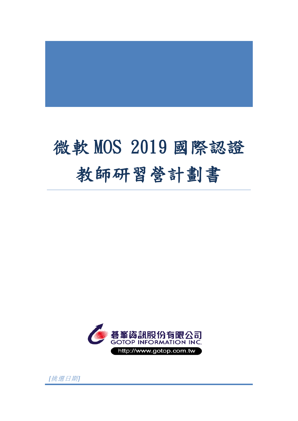# 

# 微軟 MOS 2019 國際認證 教師研習營計劃書



*[*挑選日期*]*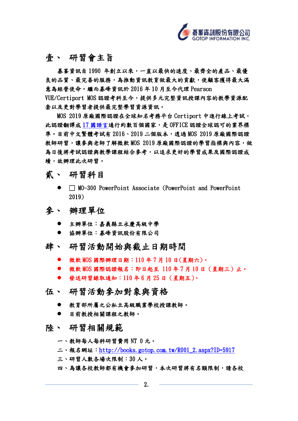

#### 壹、 研習會主旨

碁峯資訊自 1990 年創立以來,一直以最快的速度、最齊全的產品、最優 良的品質、最完善的服務,為推動資訊教育做最大的貢獻,使顧客獲得最大滿 意為經營使命。繼而碁峰資訊於 2016 年 10 月至今代理 Pearson VUE/Certiport MOS 認證考科至今,提供多元完整資訊授課內容的教學資源配 套以及更對學習者提供最完整學習資源資訊。

MOS 2019 原廠國際認證在全球知名考務平台 Certiport 中進行線上考試, 此認證翻譯成 17 [國語言通](https://certiport.pearsonvue.com/Educator-resources/Exam-details/Exam-releases)行約數百個國家,是 OFFICE 認證全球認可的業界標 準。目前中文繁體考試有 2016、2019 二個版本,透過 MOS 2019 原廠國際認證 教師研習,讓參與老師了解微軟 MOS 2019 原廠國際認證的學習指標與內容,做 為日後將考試認證與教學課程結合參考,以追求更好的學習成果及國際認證成 績,故辦理此次研習。

- 貳、 研習科目
	- □ MO-300 PowerPoint Associate (PowerPoint and PowerPoint 2019)
- 參、 辦理單位
	- 主辦單位:嘉義縣立永慶高級中學
	- 協辦單位:基峰資訊股份有限公司
- 肆、 研習活動開始與截止日期時間
	- 微軟 MOS 國際辦理日期: 110 年7月10日(星期六)。
	- 微軟 MOS 國際認證報名:即日起至 110年7月10日(星期三)止。
	- 發送研習錄取通知:110年6月25日 (星期五)。
- 伍、 研習活動參加對象與資格
	- 教育部所屬之公私立高級職業學校授課教師。
	- 目前教授相關課程之教師。
- 陸、 研習相關規範
	- 一、教師每人每科研習費用 NT 0 元。
	- 二、報名網址:http://books.gotop.com.tw/R001 2.aspx?ID=5917
	- 三、研習人數各場次限制:30 人。
	- 四、為讓各校教師都有機會參加研習,本次研習將有名額限制,請各校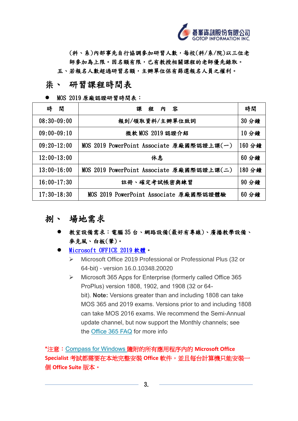

(科、系)內部事先自行協調參加研習人數,每校(科/系/院)以三位老 師參加為上限。因名額有限,已有教授相關課程的老師優先錄取。 五、若報名人數超過研習名額,主辦單位保有篩選報名人員之權利。

#### 柒、 研習課程時間表

⚫ MOS 2019 原廠認證研習時間表:

| 時<br>間          | 容<br>程<br>課<br>内                          | 時間     |
|-----------------|-------------------------------------------|--------|
| $08:30-09:00$   | 報到/領取資料/主辦單位致詞                            | 30 分鐘  |
| $09:00 - 09:10$ | 微軟 MOS 2019 認證介紹                          | 10分鐘   |
| $09:20 - 12:00$ | MOS 2019 PowerPoint Associate 原廠國際認證上課(一) | 160 分鐘 |
| $12:00-13:00$   | 休息                                        | 60 分鐘  |
| $13:00-16:00$   | MOS 2019 PowerPoint Associate 原廠國際認證上課(二) | 180 分鐘 |
| $16:00-17:30$   | 註冊、確定考試帳密與練習                              | 90 分鐘  |
| $17:30 - 18:30$ | MOS 2019 PowerPoint Associate 原廠國際認證體驗    | 60 分鐘  |

#### 捌、 場地需求

- ⚫ 教室設備需求:電腦 35 台、網路設備(最好有專線)、廣播教學設備、 麥克風、白板(筆)。
- [Microsoft OFFICE 2019](https://certiport.pearsonvue.com/Support/Technical-requirements?ot=collapseMOS) 軟體。
	- ➢ Microsoft Office 2019 Professional or Professional Plus (32 or 64-bit) - version 16.0.10348.20020
	- ➢ Microsoft 365 Apps for Enterprise (formerly called Office 365 ProPlus) version 1808, 1902, and 1908 (32 or 64 bit). **Note:** Versions greater than and including 1808 can take MOS 365 and 2019 exams. Versions prior to and including 1808 can take MOS 2016 exams. We recommend the Semi-Annual update channel, but now support the Monthly channels; see the [Office 365 FAQ](https://certiport.pearsonvue.com/Support/PDFs/QRG-Office-365-FAQ.pdf) for more info

**\***注意:[Compass for Windows](https://certiport.pearsonvue.com/Support/Technical-requirements?ot=collapseCompassWin) 隨附的所有應用程序內的 **Microsoft Office Specialist** 考試都需要在本地完整安裝 **Office** 軟件,並且每台計算機只能安裝一 個 **Office Suite** 版本。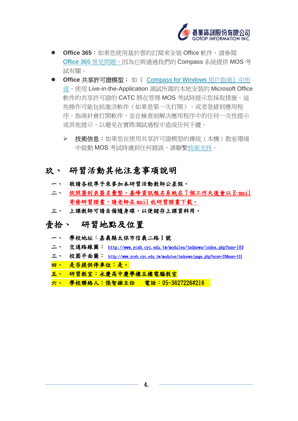

- **Office 365:**如果您使用基於雲的訂閱來安裝 Office 軟件,請參閱 Office 365 [常見問題,因](https://certiport.pearsonvue.com/Support/PDFs/QRG-Office-365-FAQ.pdf)為它與通過我們的 Compass 系統提供 MOS 考 試有關。
- ⚫ **Office** 共享許可證模型: 如《 [Compass for Windows](https://certiport.pearsonvue.com/Support/PDFs/Compass/Compass-User-Guide-Windows.pdf) 用戶指南》中所 [述,](https://certiport.pearsonvue.com/Support/PDFs/Compass/Compass-User-Guide-Windows.pdf)使用 Live-in-the-Application 測試所需的本地安裝的 Microsoft Office 軟件的共享許可證的 CATC 將在管理 MOS 考試時提示您採取措施。這 些操作可能包括激活軟件(如果是第一次打開),或者登錄到應用程 序。指南針會打開軟件,並在檢查前解決應用程序中的任何一次性提示 或其他提示,以避免在實際測試過程中造成任何干擾。
	- ➢ 技術信息:如果您在使用共享許可證模型的傳統(本機)教室環境 中啟動 MOS 考試時遇到任何錯誤,請聯[繫技術支持。](https://certiport.pearsonvue.com/Support/Support-for-CATCs/Technical-support)

#### 玖、 研習活動其他注意事項說明

- 一、 敬請各校準予來參加本研習活動教師公差假。
- 二、 依照簽到表簽名彙整, 碁峰資訊報名系統在7個工作天後會以 E-mail 寄發研習證書,請老師在 mail 收研習證書下載。
- 三、 上課教師可請自備隨身碟,以便儲存上課資料用。

#### 壹拾、 研習地點及位置

- 一、 學校地址:嘉義縣太保市信義二路 1 號
- 二、 交通路線圖: <http://www.ycsh.cyc.edu.tw/modules/tadnews/index.php?nsn=103>
- 三、 校園平面圖: <http://www.ycsh.cyc.edu.tw/modules/tadnews/page.php?ncsn=29&nsn=101>
- 四、 是否提供停車位:是。
- 五、 研習教室:永慶高中慶學樓五樓電腦教室
- 六、 學校聯絡人:張智雄主任 電話:05-3627226#216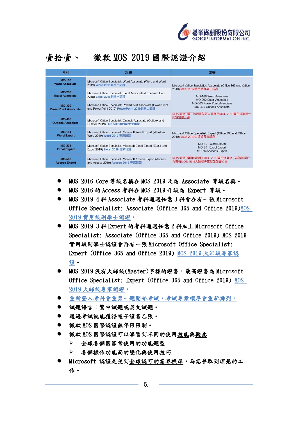

### 壹拾壹、 微軟 MOS 2019 國際認證介紹

| 考科                                      | 證書                                                                                                         | 證書                                                                                        |
|-----------------------------------------|------------------------------------------------------------------------------------------------------------|-------------------------------------------------------------------------------------------|
| <b>MO-100</b><br><b>Word Associate</b>  | Microsoft Office Specialist: Word Associate (Word and Word<br>2019) Word 2019副學士認證                         | Microsoft Office Specialist: Associate (Office 365 and Office                             |
| <b>MO-200</b><br><b>Excel Associate</b> | Microsoft Office Specialist: Excel Associate (Excel and Excel<br>2019) Excel 2019副學士認證                     | 2019) MOS 2019實用級副學士認證<br>MO-100 Word Associate<br>MO-200 Excel Associate                 |
| MO-300<br><b>PowerPoint Associate</b>   | Microsoft Office Specialist: PowerPoint Associate (PowerPoint<br>and PowerPoint 2019) PowerPoint 2019副學士認證 | MO-300 PowerPoint Associate<br>MO-400 Outlook Associate<br>以上科目任選三科通過就可以再獲得MOS 2019實用級副學士 |
| $MO-400$<br><b>Outlook Associate</b>    | Microsoft Office Specialist: Outlook Associate (Outlook and<br>Outlook 2019) Outlook 2019副學士認證             | 認證證書乙張                                                                                    |
| <b>MO-101</b><br><b>Word Expert</b>     | Microsoft Office Specialist: Microsoft Word Expert (Word and<br>Word 2019) Word 2019 專家認證                  | Microsoft Office Specialist: Expert (Office 365 and Office<br>2019) MOS 2019大師級專家認證       |
| <b>MO-201</b><br><b>Excel Expert</b>    | Microsoft Office Specialist: Microsoft Excel Expert (Excel and<br>Excel 2019) Excel 2019 專家認證              | MO-101 Word Expert<br>MO-201 Excel Expert<br>MO-500 Access Expert                         |
| <b>MO-500</b><br><b>Access Expert</b>   | Microsoft Office Specialist: Microsoft Access Expert (Access<br>and Access 2019) Access 2019 專家認證          | 以上科目任選兩科通過+MOS 2019實用級副學士認證就可以<br>再獲得MOS 2019大師級專家認證證書乙張                                  |

- ⚫ MOS 2016 Core 等級名稱在 MOS 2019 改為 Associate 等級名稱。
- MOS 2016 的 Access 考科在 MOS 2019 升級為 Expert 等級。
- MOS 2019 4科 Associate 考科通過任意3科會在有一張 Microsoft Office Specialist: Associate (Office 365 and Office 2019)MOS 2019 實用級副學士認證。
- MOS 2019 3科 Expert 的考科通過任意 2 科加上 Microsoft Office Specialist: Associate (Office 365 and Office 2019) MOS 2019 實用級副學士認證會再有一張 Microsoft Office Specialist: Expert (Office 365 and Office 2019) MOS 2019 大師級專家認 證。
- MOS 2019 沒有大師級(Master)字樣的證書,最高證書為 Microsoft Office Specialist: Expert (Office 365 and Office 2019) MOS 2019 大師級專家認證。
- ⚫ 重新登入考科會重第一題開始考試,考試專案順序會重新排列。
- 試題語言:繁中試題或英文試題。
- 通過考試就能獲得電子證書乙張。
- ⚫ 微軟 MOS 國際認證無年限限制。
- 微軟 MOS 國際認證可以學習到不同的使用技能與觀念
	- ➢ 全球各個國家常使用的功能題型
	- ➢ 各個操作功能面的變化與使用技巧
- Microsoft 認證是受到全球認可的業界標準,為您爭取到理想的工 作。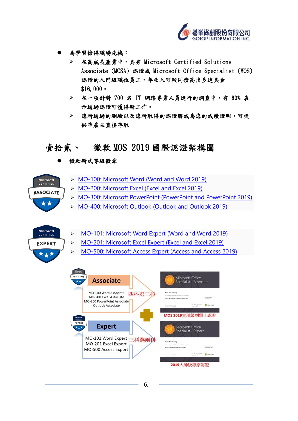

- 為學習搶得職場先機:
	- ➢ 在高成長產業中,具有 Microsoft Certified Solutions Associate (MCSA) 認證或 Microsoft Office Specialist (MOS) 認證的入門級職位員工,年收入可較同儕高出多達美金 \$16,000。
	- ➢ 在一項針對 700 名 IT 網路專業人員進行的調查中,有 60% 表 示通過認證可獲得新工作。
	- ➢ 您所通過的測驗以及您所取得的認證將成為您的成績證明,可提 供準雇主直接存取

#### 壹拾貳、 微軟 MOS 2019 國際認證架構圖

微軟新式等級徽章



- ➢ [MO-200: Microsoft Excel \(Excel and Excel 2019\)](https://docs.microsoft.com/zh-tw/learn/certifications/exams/mo-200)
- ➢ [MO-300: Microsoft PowerPoint \(PowerPoint and PowerPoint 2019\)](https://docs.microsoft.com/zh-tw/learn/certifications/exams/mo-300)
- ➢ [MO-400: Microsoft Outlook \(Outlook and Outlook 2019\)](https://docs.microsoft.com/zh-tw/learn/certifications/exams/mo-400)



Microsoft<br>CERTIFIED

**ASSOCIATE** 

- ➢ [MO-101: Microsoft Word Expert \(Word and Word 2019\)](https://docs.microsoft.com/zh-tw/learn/certifications/exams/mo-101)
- ➢ [MO-201: Microsoft Excel Expert \(Excel and Excel 2019\)](https://docs.microsoft.com/zh-tw/learn/certifications/exams/mo-201)
- ➢ [MO-500: Microsoft Access Expert \(Access and Access 2019\)](https://docs.microsoft.com/zh-tw/learn/certifications/exams/mo-500)

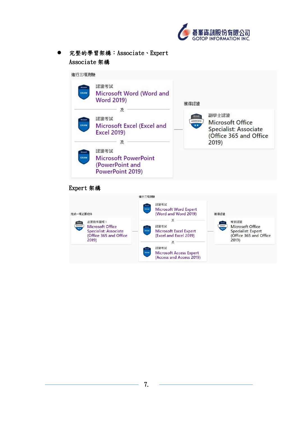

⚫ 完整的學習架構:Associate、Expert Associate 架構



#### Expert 架構

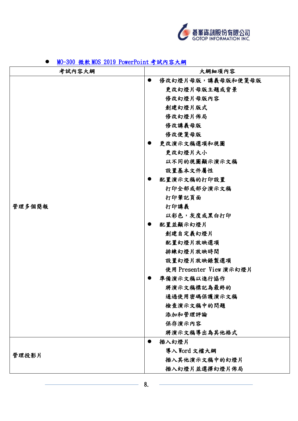

| 考試內容大綱 | 大綱細項內容                  |
|--------|-------------------------|
|        | 修改幻燈片母版,講義母版和便箋母版       |
|        | 更改幻燈片母版主題或背景            |
|        | 修改幻燈片母版內容               |
|        | 創建幻燈片版式                 |
|        | 修改幻燈片佈局                 |
|        | 修改講義母版                  |
|        | 修改便箋母版                  |
|        | 更改演示文稿選項和視圖             |
|        | 更改幻燈片大小                 |
|        | 以不同的視圖顯示演示文稿            |
|        | 設置基本文件屬性                |
|        | 配置演示文稿的打印設置             |
|        | 打印全部或部分演示文稿             |
|        | 打印筆記頁面                  |
| 管理多個簡報 | 打印講義                    |
|        | <b>以彩色,灰度或黑白打印</b>      |
|        | 配置並顯示幻燈片                |
|        | 創建自定義幻燈片                |
|        | 配置幻燈片放映選項               |
|        | 排練幻燈片放映時間               |
|        | 設置幻燈片放映錄製選項             |
|        | 使用 Presenter View 演示幻燈片 |
|        | 準備演示文稿以進行協作             |
|        | 將演示文稿標記為最終的             |
|        | 通過使用密碼保護演示文稿            |
|        | 檢查演示文稿中的問題              |
|        | 添加和管理評論                 |
|        | 保存演示內容                  |
|        | 將演示文稿導出為其他格式            |
|        | 插入幻燈片                   |
|        | 導入Word 文檔大綱             |
| 管理投影片  | 插入其他演示文稿中的幻燈片           |
|        | 插入幻燈片並選擇幻燈片佈局           |

#### ● MO-300 微軟 [MOS 2019 PowerPoint](https://query.prod.cms.rt.microsoft.com/cms/api/am/binary/RE3WKkE) 考試內容大綱

8.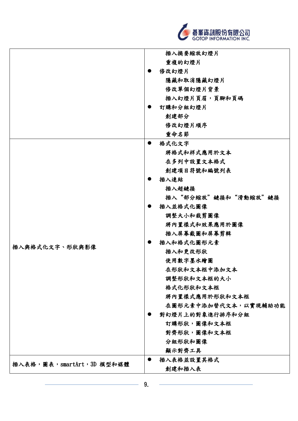

|                          |           | 插入摘要缩放幻燈片            |
|--------------------------|-----------|----------------------|
|                          |           | 重複的幻燈片               |
|                          |           | 修改幻燈片                |
|                          |           | 隱藏和取消隱藏幻燈片           |
|                          |           | 修改單個幻燈片背景            |
|                          |           | 插入幻燈片頁眉,頁腳和頁碼        |
|                          |           | 訂購和分組幻燈片             |
|                          |           | 創建部分                 |
|                          |           | 修改幻燈片順序              |
|                          |           | 重命名節                 |
|                          | $\bullet$ | 格式化文字                |
|                          |           | 將格式和样式應用於文本          |
|                          |           | 在多列中設置文本格式           |
|                          |           | 創建項目符號和編號列表          |
|                          |           | 插入連結                 |
|                          |           | 插入超鏈接                |
|                          |           | 插入"部分縮放"鏈接和"滑動縮放"鏈接  |
|                          |           | 插入並格式化圖像             |
|                          |           | 調整大小和裁剪圖像            |
|                          |           | 將內置樣式和效果應用於圖像        |
|                          |           | 插入屏幕截圖和屏幕剪輯          |
| 插入與格式化文字、形狀與影像           |           | 插入和格式化圖形元素           |
|                          |           | 插入和更改形狀              |
|                          |           | 使用數字墨水繪圖             |
|                          |           | 在形狀和文本框中添加文本         |
|                          |           | 調整形狀和文本框的大小          |
|                          |           | 格式化形狀和文本框            |
|                          |           | 將內置樣式應用於形狀和文本框       |
|                          |           | 在圖形元素中添加替代文本,以實現輔助功能 |
|                          |           | 對幻燈片上的對象進行排序和分組      |
|                          |           | 訂購形狀,圖像和文本框          |
|                          |           | 對齊形狀,圖像和文本框          |
|                          |           | 分組形狀和圖像              |
|                          |           | 顯示對齊工具               |
| 插入表格,圖表,smartArt,3D模型和媒體 |           | 插入表格並設置其格式           |
|                          |           | 創建和插入表               |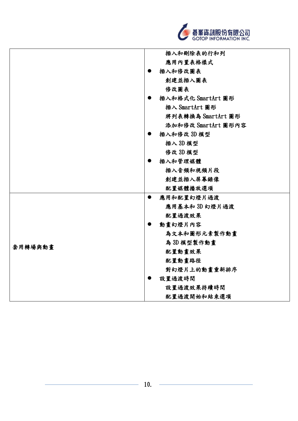

|         | 插入和删除表的行和列              |
|---------|-------------------------|
|         | 應用內置表格樣式                |
|         | 插入和修改圖表                 |
|         | 創建並插入圖表                 |
|         | 修改圖表                    |
|         | 插入和格式化 SmartArt 圖形      |
|         | 插入 SmartArt 圖形          |
|         | 將列表轉換為 SmartArt 圖形      |
|         | 添加和修改 SmartArt 圖形內容     |
|         | 插入和修改 3D 模型             |
|         | 插入3D模型                  |
|         | 修改 3D 模型                |
|         | 插入和管理媒體                 |
|         | 插入音頻和視頻片段               |
|         | 創建並插入屏幕錄像               |
|         | 配置媒體播放選項                |
|         | 應用和配置幻燈片過渡<br>$\bullet$ |
|         | 應用基本和 3D 幻燈片過渡          |
|         | 配置過渡效果                  |
|         | 動畫幻燈片內容                 |
|         | 為文本和圖形元素製作動畫            |
|         | 為 3D 模型製作動畫             |
| 套用轉場與動畫 | 配置動畫效果                  |
|         | 配置動畫路徑                  |
|         | 對幻燈片上的動畫重新排序            |
|         | 設置過渡時間                  |
|         | 設置過渡效果持續時間              |
|         | 配置過渡開始和結束選項             |

 $\overline{\phantom{0}}$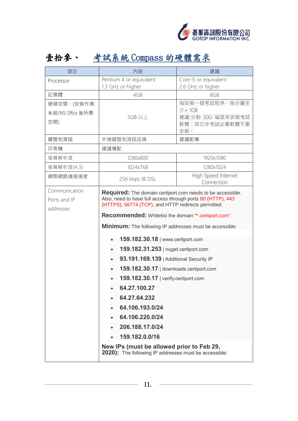

## 壹拾參、 考試系統 Compass [的硬體需求](http://www.certiport.com/Portal/desktopdefault.aspx?page=common/pagelibrary/techRequirements.htm#C8)

| 項目                                         | 內容                                                                                                                                                                                                                                                                                                                                                                                                                                                                                                                                                                                                                                                                                                                                                    | 建議                                                                    |
|--------------------------------------------|-------------------------------------------------------------------------------------------------------------------------------------------------------------------------------------------------------------------------------------------------------------------------------------------------------------------------------------------------------------------------------------------------------------------------------------------------------------------------------------------------------------------------------------------------------------------------------------------------------------------------------------------------------------------------------------------------------------------------------------------------------|-----------------------------------------------------------------------|
| Processor                                  | Pentium 4 or equivalent<br>1.3 GHz or higher                                                                                                                                                                                                                                                                                                                                                                                                                                                                                                                                                                                                                                                                                                          | Core i5 or equivalent<br>2.6 GHz or higher                            |
| 記憶體                                        | 4GB                                                                                                                                                                                                                                                                                                                                                                                                                                                                                                                                                                                                                                                                                                                                                   | 8GB                                                                   |
| 硬碟空間:(安裝作業<br>系統/MS Office 後所需<br>空間)      | 5GB 以上                                                                                                                                                                                                                                                                                                                                                                                                                                                                                                                                                                                                                                                                                                                                                | 每安裝一個考試程序,每分鐘至<br>少+1GB<br>建議:分割 50G 磁區來安裝考試<br>軟體,其它非考試必要軟體不要<br>安裝。 |
| 鍵盤和滑鼠                                      | 外接鍵盤和滑鼠設備                                                                                                                                                                                                                                                                                                                                                                                                                                                                                                                                                                                                                                                                                                                                             | 建議配備                                                                  |
| 印表機                                        | 建議備配                                                                                                                                                                                                                                                                                                                                                                                                                                                                                                                                                                                                                                                                                                                                                  |                                                                       |
| 螢幕解析度                                      | 1280x800                                                                                                                                                                                                                                                                                                                                                                                                                                                                                                                                                                                                                                                                                                                                              | 1920x1080                                                             |
| 螢幕解析度(4:3)                                 | 1024x768                                                                                                                                                                                                                                                                                                                                                                                                                                                                                                                                                                                                                                                                                                                                              | 1280x1024                                                             |
| 網際網路連接速度                                   | 256 kbps 或 DSL                                                                                                                                                                                                                                                                                                                                                                                                                                                                                                                                                                                                                                                                                                                                        | High Speed Internet<br>Connection                                     |
| Communication<br>Ports and IP<br>addresses | <b>Required:</b> The domain certiport.com needs to be accessible.<br>Also, need to have full access through ports 80 (HTTP), 443<br>(HTTPS), 56774 (TCP), and HTTP redirects permitted.<br>Recommended: Whitelist the domain "*.certiport.com".<br><b>Minimum:</b> The following IP addresses must be accessible:<br>159.182.30.18   www.certiport.com<br>159.182.31.253   nuget.certiport.com<br>93.191.169.139   Additional Security IP<br>159.182.30.17   downloads.certiport.com<br>159.182.30.17   verify.certiport.com<br>64.27.100.27<br>64.27.64.232<br>64.106.193.0/24<br>64.106.220.0/24<br>$\cdot$ 206.188.17.0/24<br>159.182.0.0/16<br>New IPs (must be allowed prior to Feb 29,<br>2020): The following IP addresses must be accessible: |                                                                       |

11.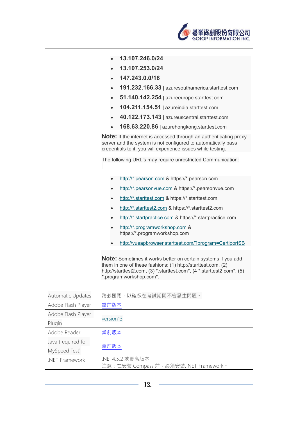

|                    | 13.107.246.0/24                                                                                                                                                                                                                           |
|--------------------|-------------------------------------------------------------------------------------------------------------------------------------------------------------------------------------------------------------------------------------------|
|                    | 13.107.253.0/24                                                                                                                                                                                                                           |
|                    | 147.243.0.0/16                                                                                                                                                                                                                            |
|                    | 191.232.166.33   azuresouthamerica.starttest.com                                                                                                                                                                                          |
|                    | 51.140.142.254   azureeurope.starttest.com                                                                                                                                                                                                |
|                    | 104.211.154.51   azureindia.starttest.com                                                                                                                                                                                                 |
|                    | 40.122.173.143   azureuscentral.starttest.com                                                                                                                                                                                             |
|                    | 168.63.220.86   azurehongkong.starttest.com                                                                                                                                                                                               |
|                    | <b>Note:</b> If the internet is accessed through an authenticating proxy<br>server and the system is not configured to automatically pass<br>credentials to it, you will experience issues while testing.                                 |
|                    | The following URL's may require unrestricted Communication:                                                                                                                                                                               |
|                    | http://*.pearson.com & https://*.pearson.com                                                                                                                                                                                              |
|                    | http://*.pearsonvue.com & https://*.pearsonvue.com                                                                                                                                                                                        |
|                    | http://*.starttest.com & https://*.starttest.com                                                                                                                                                                                          |
|                    | http://*.starttest2.com & https://*.starttest2.com<br>$\bullet$                                                                                                                                                                           |
|                    | http://*.startpractice.com & https://*.startpractice.com                                                                                                                                                                                  |
|                    | http://*.programworkshop.com &<br>https://*.programworkshop.com                                                                                                                                                                           |
|                    | http://vueapbrowser.starttest.com/?program=CertiportSB                                                                                                                                                                                    |
|                    | <b>Note:</b> Sometimes it works better on certain systems if you add<br>them in one of these fashions: (1) http://starttest.com, (2)<br>http://starttest2.com, (3) *.starttest.com*, (4 *.starttest2.com*, (5)<br>*.programworkshop.com*. |
| Automatic Updates  | 務必關閉,以確保在考試期間不會發生問題。                                                                                                                                                                                                                      |
| Adobe Flash Player | 當前版本                                                                                                                                                                                                                                      |
| Adobe Flash Player |                                                                                                                                                                                                                                           |
| Plugin             | version13                                                                                                                                                                                                                                 |
| Adobe Reader       | 當前版本                                                                                                                                                                                                                                      |
| Java (required for |                                                                                                                                                                                                                                           |
| MySpeed Test)      | 當前版本                                                                                                                                                                                                                                      |
| .NET Framework     | .NET4.5.2 或更高版本<br>注意: 在安裝 Compass 前, 必須安裝. NET Framework。                                                                                                                                                                                |